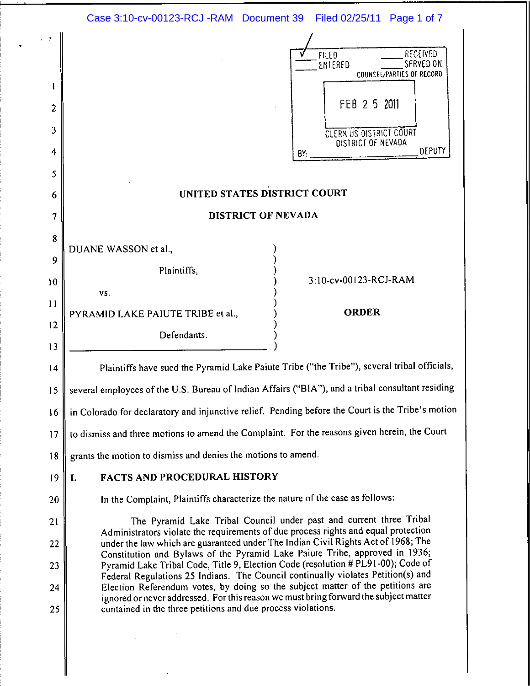|                                    | Case 3:10-cv-00123-RCJ -RAM Document 39<br>Filed 02/25/11 Page 1 of 7                                                                                                                                                                                                                                                                                                                                                                                                                                                                                                              |
|------------------------------------|------------------------------------------------------------------------------------------------------------------------------------------------------------------------------------------------------------------------------------------------------------------------------------------------------------------------------------------------------------------------------------------------------------------------------------------------------------------------------------------------------------------------------------------------------------------------------------|
| 1<br>$\overline{c}$<br>3<br>4<br>5 | RECEIVED<br><b>FILED</b><br>SERVED ON<br>ENTERED<br>COUNSEL/PARTIES OF RECORD<br>FEB 2 5 2011<br><b>CLERK US DISTRICT COURT</b><br>DISTRICT OF NEVADA<br>DEPUTY<br>BY.                                                                                                                                                                                                                                                                                                                                                                                                             |
| 6                                  | UNITED STATES DISTRICT COURT                                                                                                                                                                                                                                                                                                                                                                                                                                                                                                                                                       |
| 7                                  | DISTRICT OF NEVADA                                                                                                                                                                                                                                                                                                                                                                                                                                                                                                                                                                 |
| 8<br>9<br>10<br>11<br>12           | DUANE WASSON et al.,<br>Plaintiffs,<br>3:10-cv-00123-RCJ-RAM<br>VS.<br><b>ORDER</b><br>PYRAMID LAKE PAIUTE TRIBE et al.,<br>Defendants.                                                                                                                                                                                                                                                                                                                                                                                                                                            |
| 13<br>14                           | Plaintiffs have sued the Pyramid Lake Paiute Tribe ("the Tribe"), several tribal officials,                                                                                                                                                                                                                                                                                                                                                                                                                                                                                        |
| 15                                 | several employees of the U.S. Bureau of Indian Affairs ("BIA"), and a tribal consultant residing                                                                                                                                                                                                                                                                                                                                                                                                                                                                                   |
| 16                                 | in Colorado for declaratory and injunctive relief. Pending before the Court is the Tribe's motion                                                                                                                                                                                                                                                                                                                                                                                                                                                                                  |
| 17                                 | to dismiss and three motions to amend the Complaint. For the reasons given herein, the Court                                                                                                                                                                                                                                                                                                                                                                                                                                                                                       |
| 18                                 | grants the motion to dismiss and denies the motions to amend.                                                                                                                                                                                                                                                                                                                                                                                                                                                                                                                      |
| 19                                 | <b>FACTS AND PROCEDURAL HISTORY</b><br>I.                                                                                                                                                                                                                                                                                                                                                                                                                                                                                                                                          |
| 20                                 | In the Complaint, Plaintiffs characterize the nature of the case as follows:                                                                                                                                                                                                                                                                                                                                                                                                                                                                                                       |
| 21                                 | The Pyramid Lake Tribal Council under past and current three Tribal<br>Administrators violate the requirements of due process rights and equal protection                                                                                                                                                                                                                                                                                                                                                                                                                          |
| 22<br>23<br>24<br>25               | under the law which are guaranteed under The Indian Civil Rights Act of 1968; The<br>Constitution and Bylaws of the Pyramid Lake Paiute Tribe, approved in 1936;<br>Pyramid Lake Tribal Code, Title 9, Election Code (resolution # PL91-00); Code of<br>Federal Regulations 25 Indians. The Council continually violates Petition(s) and<br>Election Referendum votes, by doing so the subject matter of the petitions are<br>ignored or never addressed. For this reason we must bring forward the subject matter<br>contained in the three petitions and due process violations. |
|                                    |                                                                                                                                                                                                                                                                                                                                                                                                                                                                                                                                                                                    |

 $\label{eq:2.1} \frac{1}{\sqrt{2}}\int_{\mathbb{R}^3}\frac{1}{\sqrt{2}}\left(\frac{1}{\sqrt{2}}\right)^2\frac{1}{\sqrt{2}}\left(\frac{1}{\sqrt{2}}\right)^2\frac{1}{\sqrt{2}}\left(\frac{1}{\sqrt{2}}\right)^2.$ 

 $\bullet$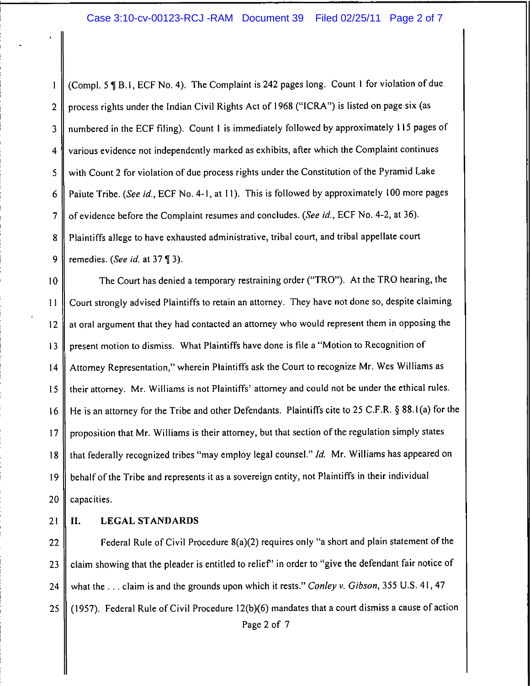### Case 3:10-cv-00123-RCJ -RAM Document 39 Filed 02/25/11 Page 2 of 7

(Compl. 5 ¶ B.1, ECF No. 4). The Complaint is 242 pages long. Count 1 for violation of due  $\mathbf{I}$ process rights under the Indian Civil Rights Act of 1968 ("ICRA") is listed on page six (as  $\overline{2}$ numbered in the ECF filing). Count 1 is immediately followed by approximately 115 pages of  $\overline{3}$ various evidence not independently marked as exhibits, after which the Complaint continues  $\overline{\mathbf{4}}$ 5 with Count 2 for violation of due process rights under the Constitution of the Pyramid Lake Paiute Tribe. (See id., ECF No. 4-1, at 11). This is followed by approximately 100 more pages 6  $\overline{7}$ of evidence before the Complaint resumes and concludes. (See id., ECF No. 4-2, at 36). Plaintiffs allege to have exhausted administrative, tribal court, and tribal appellate court 8 9 remedies. (See id. at 37 [3].

The Court has denied a temporary restraining order ("TRO"). At the TRO hearing, the  $10$ Court strongly advised Plaintiffs to retain an attorney. They have not done so, despite claiming  $11$ at oral argument that they had contacted an attorney who would represent them in opposing the  $12$ present motion to dismiss. What Plaintiffs have done is file a "Motion to Recognition of  $13$ Attorney Representation," wherein Plaintiffs ask the Court to recognize Mr. Wes Williams as  $14$ their attorney. Mr. Williams is not Plaintiffs' attorney and could not be under the ethical rules. 15 He is an attorney for the Tribe and other Defendants. Plaintiffs cite to 25 C.F.R. § 88.1(a) for the  $16$ proposition that Mr. Williams is their attorney, but that section of the regulation simply states  $17$ that federally recognized tribes "may employ legal counsel." Id. Mr. Williams has appeared on 18 behalf of the Tribe and represents it as a sovereign entity, not Plaintiffs in their individual 19 capacities. 20

21

### II. **LEGAL STANDARDS**

Federal Rule of Civil Procedure 8(a)(2) requires only "a short and plain statement of the 22 claim showing that the pleader is entitled to relief" in order to "give the defendant fair notice of 23 what the ... claim is and the grounds upon which it rests." Conley v. Gibson, 355 U.S. 41, 47 24 (1957). Federal Rule of Civil Procedure 12(b)(6) mandates that a court dismiss a cause of action 25 Page 2 of 7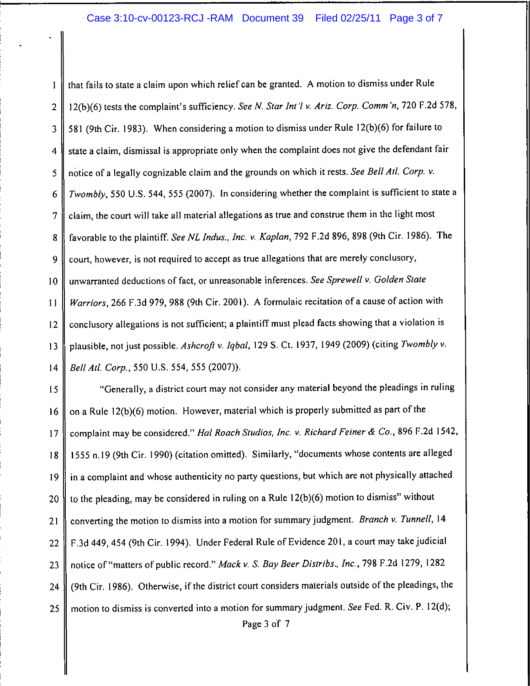## Case 3:10-cv-00123-RCJ -RAM Document 39 Filed 02/25/11 Page 3 of 7

that fails to state a claim upon which relief can be granted. A motion to dismiss under Rule  $\mathbf{1}$ 12(b)(6) tests the complaint's sufficiency. See N. Star Int'l v. Ariz. Corp. Comm'n, 720 F.2d 578,  $\overline{2}$ 581 (9th Cir. 1983). When considering a motion to dismiss under Rule 12(b)(6) for failure to 3 state a claim, dismissal is appropriate only when the complaint does not give the defendant fair  $\overline{\bf{4}}$ notice of a legally cognizable claim and the grounds on which it rests. See Bell Atl. Corp. v. 5 Twombly, 550 U.S. 544, 555 (2007). In considering whether the complaint is sufficient to state a 6 claim, the court will take all material allegations as true and construe them in the light most  $\overline{7}$ favorable to the plaintiff. See NL Indus., Inc. v. Kaplan, 792 F.2d 896, 898 (9th Cir. 1986). The 8 court, however, is not required to accept as true allegations that are merely conclusory, 9 unwarranted deductions of fact, or unreasonable inferences. See Sprewell v. Golden State 10 Warriors, 266 F.3d 979, 988 (9th Cir. 2001). A formulaic recitation of a cause of action with  $11$ conclusory allegations is not sufficient; a plaintiff must plead facts showing that a violation is  $12$ plausible, not just possible. Ashcroft v. Iqbal, 129 S. Ct. 1937, 1949 (2009) (citing Twombly v.  $13$ Bell Atl. Corp., 550 U.S. 554, 555 (2007)).  $14$ 

"Generally, a district court may not consider any material beyond the pleadings in ruling 15 on a Rule 12(b)(6) motion. However, material which is properly submitted as part of the  $16$ complaint may be considered." Hal Roach Studios, Inc. v. Richard Feiner & Co., 896 F.2d 1542,  $17$ 1555 n.19 (9th Cir. 1990) (citation omitted). Similarly, "documents whose contents are alleged 18 in a complaint and whose authenticity no party questions, but which are not physically attached 19 to the pleading, may be considered in ruling on a Rule 12(b)(6) motion to dismiss" without 20 converting the motion to dismiss into a motion for summary judgment. Branch v. Tunnell, 14  $21$ F.3d 449, 454 (9th Cir. 1994). Under Federal Rule of Evidence 201, a court may take judicial 22 notice of "matters of public record." Mack v. S. Bay Beer Distribs., Inc., 798 F.2d 1279, 1282 23 (9th Cir. 1986). Otherwise, if the district court considers materials outside of the pleadings, the 24 motion to dismiss is converted into a motion for summary judgment. See Fed. R. Civ. P. 12(d); 25 Page 3 of 7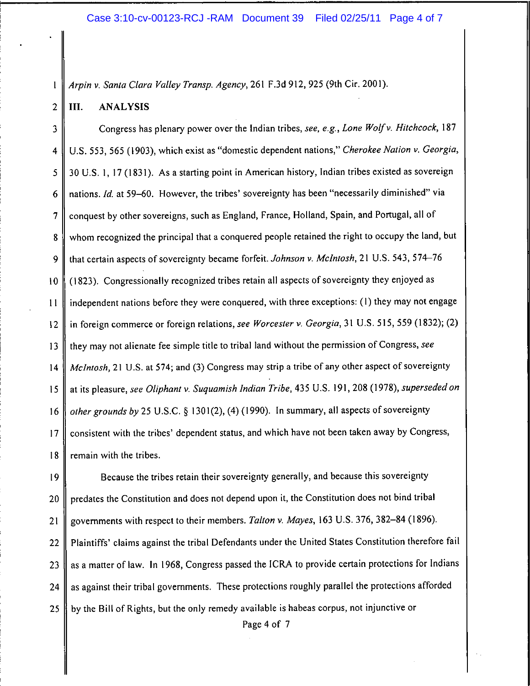## Case 3:10-cv-00123-RCJ-RAM Document 39 Filed 02/25/11 Page 4 of 7

Arpin v. Santa Clara Valley Transp. Agency, 261 F.3d 912, 925 (9th Cir. 2001).

#### $\overline{2}$ III. **ANALYSIS**

 $\mathbf{I}$ 

Congress has plenary power over the Indian tribes, see, e.g., Lone Wolf v. Hitchcock, 187  $\overline{\mathbf{3}}$ U.S. 553, 565 (1903), which exist as "domestic dependent nations," Cherokee Nation v. Georgia,  $\overline{\mathbf{4}}$ 30 U.S. 1, 17 (1831). As a starting point in American history, Indian tribes existed as sovereign 5 nations. Id. at 59-60. However, the tribes' sovereignty has been "necessarily diminished" via 6 conquest by other sovereigns, such as England, France, Holland, Spain, and Portugal, all of  $\overline{7}$ whom recognized the principal that a conquered people retained the right to occupy the land, but 8 that certain aspects of sovereignty became forfeit. Johnson v. McIntosh, 21 U.S. 543, 574-76 9 (1823). Congressionally recognized tribes retain all aspects of sovereignty they enjoyed as  $10$ independent nations before they were conquered, with three exceptions: (1) they may not engage  $11$ in foreign commerce or foreign relations, see Worcester v. Georgia, 31 U.S. 515, 559 (1832); (2)  $12$ they may not alienate fee simple title to tribal land without the permission of Congress, see  $13$ McIntosh, 21 U.S. at 574; and (3) Congress may strip a tribe of any other aspect of sovereignty  $14$ at its pleasure, see Oliphant v. Suquamish Indian Tribe, 435 U.S. 191, 208 (1978), superseded on  $15$ other grounds by 25 U.S.C. § 1301(2), (4) (1990). In summary, all aspects of sovereignty 16 consistent with the tribes' dependent status, and which have not been taken away by Congress,  $17$ 18 remain with the tribes.

Because the tribes retain their sovereignty generally, and because this sovereignty  $19$ predates the Constitution and does not depend upon it, the Constitution does not bind tribal 20 governments with respect to their members. Talton v. Mayes, 163 U.S. 376, 382-84 (1896).  $21$ Plaintiffs' claims against the tribal Defendants under the United States Constitution therefore fail 22 as a matter of law. In 1968, Congress passed the ICRA to provide certain protections for Indians 23 as against their tribal governments. These protections roughly parallel the protections afforded 24 by the Bill of Rights, but the only remedy available is habeas corpus, not injunctive or  $25<sub>1</sub>$ 

Page 4 of 7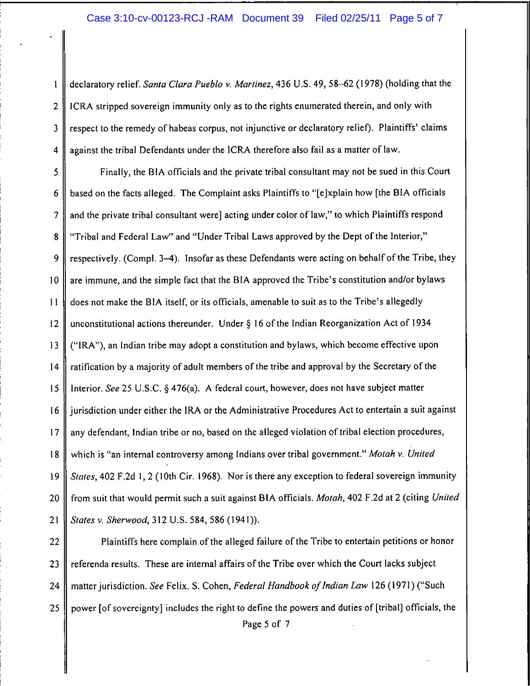### Case 3:10-cv-00123-RCJ -RAM Document 39 Filed 02/25/11 Page 5 of 7

declaratory relief. Santa Clara Pueblo v. Martinez, 436 U.S. 49, 58-62 (1978) (holding that the  $\mathbf{1}$  $\overline{2}$ ICRA stripped sovereign immunity only as to the rights enumerated therein, and only with respect to the remedy of habeas corpus, not injunctive or declaratory relief). Plaintiffs' claims  $\overline{3}$  $\overline{4}$ against the tribal Defendants under the ICRA therefore also fail as a matter of law.

Finally, the BIA officials and the private tribal consultant may not be sued in this Court  $\mathsf{S}$ 6 based on the facts alleged. The Complaint asks Plaintiffs to "[e]xplain how [the BIA officials  $\overline{7}$ and the private tribal consultant were] acting under color of law," to which Plaintiffs respond "Tribal and Federal Law" and "Under Tribal Laws approved by the Dept of the Interior," 8 9 respectively. (Compl. 3–4). Insofar as these Defendants were acting on behalf of the Tribe, they are immune, and the simple fact that the BIA approved the Tribe's constitution and/or bylaws  $10<sup>°</sup>$  $11$ does not make the BIA itself, or its officials, amenable to suit as to the Tribe's allegedly unconstitutional actions thereunder. Under  $\S$  16 of the Indian Reorganization Act of 1934  $12$ ("IRA"), an Indian tribe may adopt a constitution and bylaws, which become effective upon  $13$  $14$ ratification by a majority of adult members of the tribe and approval by the Secretary of the Interior. See 25 U.S.C. § 476(a). A federal court, however, does not have subject matter 15 jurisdiction under either the IRA or the Administrative Procedures Act to entertain a suit against  $16<sup>16</sup>$  $17$ any defendant, Indian tribe or no, based on the alleged violation of tribal election procedures, which is "an internal controversy among Indians over tribal government." Motah v. United 18 *States*, 402 F.2d 1, 2 (10th Cir. 1968). Nor is there any exception to federal sovereign immunity  $19$ 20 from suit that would permit such a suit against BIA officials. Motah, 402 F.2d at 2 (citing United  $21$ States v. Sherwood, 312 U.S. 584, 586 (1941)).

22 Plaintiffs here complain of the alleged failure of the Tribe to entertain petitions or honor referenda results. These are internal affairs of the Tribe over which the Court lacks subject 23 matter jurisdiction. See Felix. S. Cohen, Federal Handbook of Indian Law 126 (1971) ("Such 24 25 I power [of sovereignty] includes the right to define the powers and duties of [tribal] officials, the

Page 5 of 7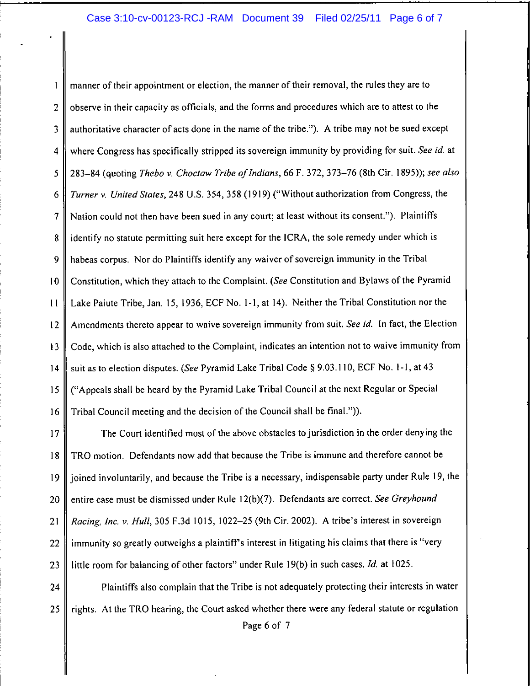## Case 3:10-cv-00123-RCJ-RAM Document 39 Filed 02/25/11 Page 6 of 7

manner of their appointment or election, the manner of their removal, the rules they are to  $\mathbf{I}$ observe in their capacity as officials, and the forms and procedures which are to attest to the  $\overline{2}$  $\overline{3}$ authoritative character of acts done in the name of the tribe."). A tribe may not be sued except where Congress has specifically stripped its sovereign immunity by providing for suit. See id. at  $\overline{\mathbf{4}}$ 283-84 (quoting Thebo v. Choctaw Tribe of Indians, 66 F. 372, 373-76 (8th Cir. 1895)); see also 5 Turner v. United States, 248 U.S. 354, 358 (1919) ("Without authorization from Congress, the 6 Nation could not then have been sued in any court; at least without its consent."). Plaintiffs  $\overline{7}$ identify no statute permitting suit here except for the ICRA, the sole remedy under which is 8 habeas corpus. Nor do Plaintiffs identify any waiver of sovereign immunity in the Tribal 9 Constitution, which they attach to the Complaint. (See Constitution and Bylaws of the Pyramid  $10$ Lake Paiute Tribe, Jan. 15, 1936, ECF No. 1-1, at 14). Neither the Tribal Constitution nor the  $11$ Amendments thereto appear to waive sovereign immunity from suit. See id. In fact, the Election  $12$ Code, which is also attached to the Complaint, indicates an intention not to waive immunity from  $13$ suit as to election disputes. (See Pyramid Lake Tribal Code § 9.03.110, ECF No. 1-1, at 43  $14$ ("Appeals shall be heard by the Pyramid Lake Tribal Council at the next Regular or Special 15 Tribal Council meeting and the decision of the Council shall be final.")). 16

The Court identified most of the above obstacles to jurisdiction in the order denying the  $17$ TRO motion. Defendants now add that because the Tribe is immune and therefore cannot be 18 joined involuntarily, and because the Tribe is a necessary, indispensable party under Rule 19, the 19 entire case must be dismissed under Rule 12(b)(7). Defendants are correct. See Greyhound 20 Racing, Inc. v. Hull, 305 F.3d 1015, 1022-25 (9th Cir. 2002). A tribe's interest in sovereign 21 immunity so greatly outweighs a plaintiff's interest in litigating his claims that there is "very 22 little room for balancing of other factors" under Rule 19(b) in such cases. Id. at 1025. 23

Plaintiffs also complain that the Tribe is not adequately protecting their interests in water 24 rights. At the TRO hearing, the Court asked whether there were any federal statute or regulation 25

Page 6 of 7